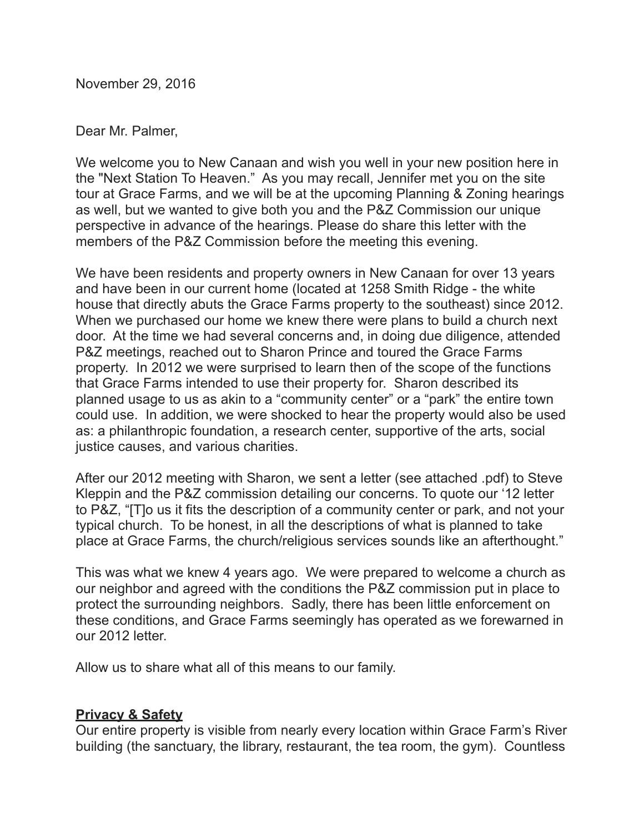November 29, 2016

Dear Mr. Palmer,

We welcome you to New Canaan and wish you well in your new position here in the "Next Station To Heaven." As you may recall, Jennifer met you on the site tour at Grace Farms, and we will be at the upcoming Planning & Zoning hearings as well, but we wanted to give both you and the P&Z Commission our unique perspective in advance of the hearings. Please do share this letter with the members of the P&Z Commission before the meeting this evening.

We have been residents and property owners in New Canaan for over 13 years and have been in our current home (located at 1258 Smith Ridge - the white house that directly abuts the Grace Farms property to the southeast) since 2012. When we purchased our home we knew there were plans to build a church next door. At the time we had several concerns and, in doing due diligence, attended P&Z meetings, reached out to Sharon Prince and toured the Grace Farms property. In 2012 we were surprised to learn then of the scope of the functions that Grace Farms intended to use their property for. Sharon described its planned usage to us as akin to a "community center" or a "park" the entire town could use. In addition, we were shocked to hear the property would also be used as: a philanthropic foundation, a research center, supportive of the arts, social justice causes, and various charities.

After our 2012 meeting with Sharon, we sent a letter (see attached .pdf) to Steve Kleppin and the P&Z commission detailing our concerns. To quote our '12 letter to P&Z, "[T]o us it fits the description of a community center or park, and not your typical church. To be honest, in all the descriptions of what is planned to take place at Grace Farms, the church/religious services sounds like an afterthought."

This was what we knew 4 years ago. We were prepared to welcome a church as our neighbor and agreed with the conditions the P&Z commission put in place to protect the surrounding neighbors. Sadly, there has been little enforcement on these conditions, and Grace Farms seemingly has operated as we forewarned in our 2012 letter.

Allow us to share what all of this means to our family.

## **Privacy & Safety**

Our entire property is visible from nearly every location within Grace Farm's River building (the sanctuary, the library, restaurant, the tea room, the gym). Countless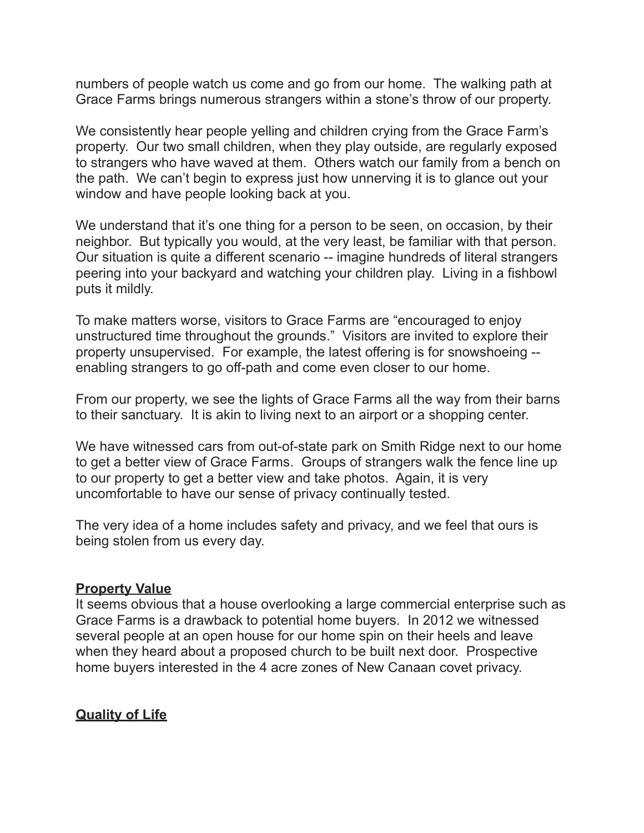numbers of people watch us come and go from our home. The walking path at Grace Farms brings numerous strangers within a stone's throw of our property.

We consistently hear people yelling and children crying from the Grace Farm's property. Our two small children, when they play outside, are regularly exposed to strangers who have waved at them. Others watch our family from a bench on the path. We can't begin to express just how unnerving it is to glance out your window and have people looking back at you.

We understand that it's one thing for a person to be seen, on occasion, by their neighbor. But typically you would, at the very least, be familiar with that person. Our situation is quite a different scenario -- imagine hundreds of literal strangers peering into your backyard and watching your children play. Living in a fishbowl puts it mildly.

To make matters worse, visitors to Grace Farms are "encouraged to enjoy unstructured time throughout the grounds." Visitors are invited to explore their property unsupervised. For example, the latest offering is for snowshoeing - enabling strangers to go off-path and come even closer to our home.

From our property, we see the lights of Grace Farms all the way from their barns to their sanctuary. It is akin to living next to an airport or a shopping center.

We have witnessed cars from out-of-state park on Smith Ridge next to our home to get a better view of Grace Farms. Groups of strangers walk the fence line up to our property to get a better view and take photos. Again, it is very uncomfortable to have our sense of privacy continually tested.

The very idea of a home includes safety and privacy, and we feel that ours is being stolen from us every day.

## **Property Value**

It seems obvious that a house overlooking a large commercial enterprise such as Grace Farms is a drawback to potential home buyers. In 2012 we witnessed several people at an open house for our home spin on their heels and leave when they heard about a proposed church to be built next door. Prospective home buyers interested in the 4 acre zones of New Canaan covet privacy.

## **Quality of Life**